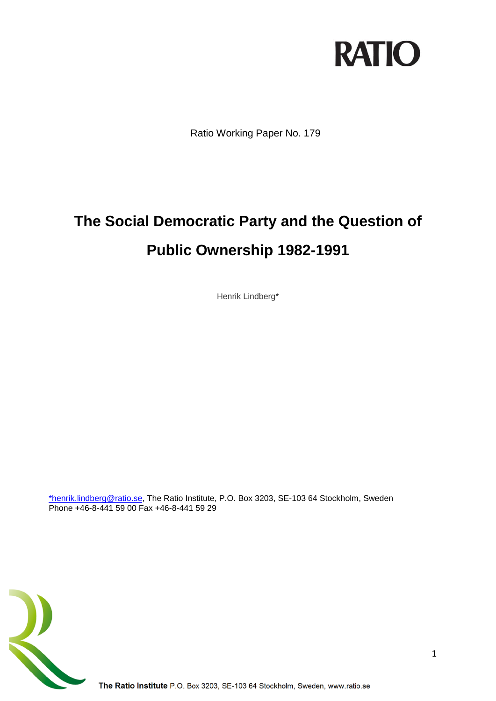

Ratio Working Paper No. 179

# **The Social Democratic Party and the Question of Public Ownership 1982-1991**

Henrik Lindberg\*

[\\*henrik.lindberg@ratio.se,](mailto:*henrik.lindberg@ratio.se) The Ratio Institute, P.O. Box 3203, SE-103 64 Stockholm, Sweden Phone +46-8-441 59 00 Fax +46-8-441 59 29

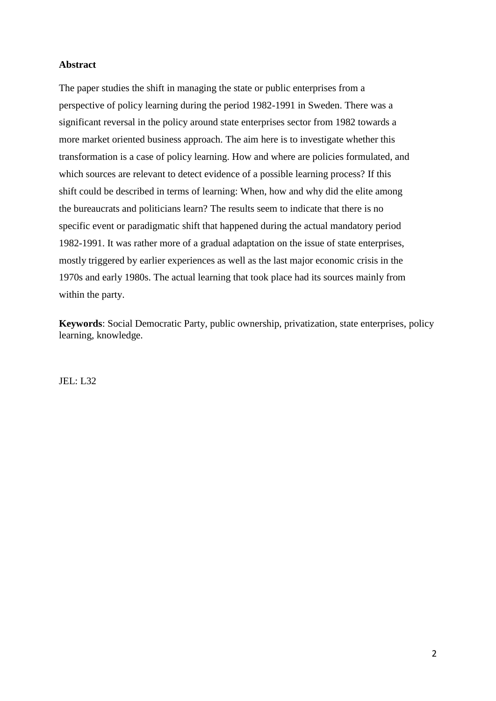#### **Abstract**

The paper studies the shift in managing the state or public enterprises from a perspective of policy learning during the period 1982-1991 in Sweden. There was a significant reversal in the policy around state enterprises sector from 1982 towards a more market oriented business approach. The aim here is to investigate whether this transformation is a case of policy learning. How and where are policies formulated, and which sources are relevant to detect evidence of a possible learning process? If this shift could be described in terms of learning: When, how and why did the elite among the bureaucrats and politicians learn? The results seem to indicate that there is no specific event or paradigmatic shift that happened during the actual mandatory period 1982-1991. It was rather more of a gradual adaptation on the issue of state enterprises, mostly triggered by earlier experiences as well as the last major economic crisis in the 1970s and early 1980s. The actual learning that took place had its sources mainly from within the party.

**Keywords**: Social Democratic Party, public ownership, privatization, state enterprises, policy learning, knowledge.

JEL: L32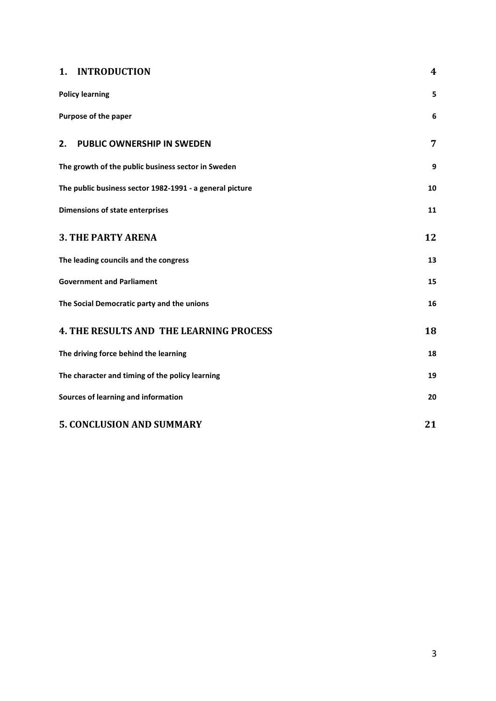## **1. [INTRODUCTION](#page-3-0) 4**

| <b>Policy learning</b>                                   | 5  |
|----------------------------------------------------------|----|
| Purpose of the paper                                     | 6  |
| <b>PUBLIC OWNERSHIP IN SWEDEN</b><br>2.                  | 7  |
| The growth of the public business sector in Sweden       | 9  |
| The public business sector 1982-1991 - a general picture | 10 |
| <b>Dimensions of state enterprises</b>                   | 11 |
| <b>3. THE PARTY ARENA</b>                                | 12 |
| The leading councils and the congress                    | 13 |
| <b>Government and Parliament</b>                         | 15 |
| The Social Democratic party and the unions               | 16 |
| <b>4. THE RESULTS AND THE LEARNING PROCESS</b>           | 18 |
| The driving force behind the learning                    | 18 |
| The character and timing of the policy learning          | 19 |
| Sources of learning and information                      | 20 |
| <b>5. CONCLUSION AND SUMMARY</b>                         | 21 |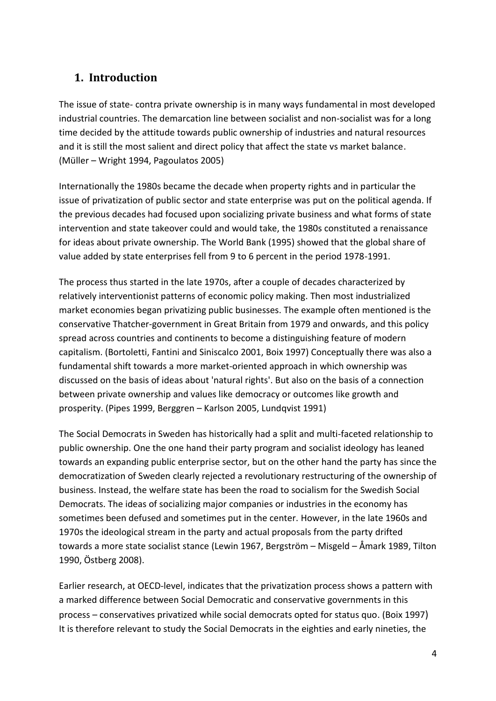# <span id="page-3-0"></span>**1. Introduction**

The issue of state- contra private ownership is in many ways fundamental in most developed industrial countries. The demarcation line between socialist and non-socialist was for a long time decided by the attitude towards public ownership of industries and natural resources and it is still the most salient and direct policy that affect the state vs market balance. (Müller – Wright 1994, Pagoulatos 2005)

Internationally the 1980s became the decade when property rights and in particular the issue of privatization of public sector and state enterprise was put on the political agenda. If the previous decades had focused upon socializing private business and what forms of state intervention and state takeover could and would take, the 1980s constituted a renaissance for ideas about private ownership. The World Bank (1995) showed that the global share of value added by state enterprises fell from 9 to 6 percent in the period 1978-1991.

The process thus started in the late 1970s, after a couple of decades characterized by relatively interventionist patterns of economic policy making. Then most industrialized market economies began privatizing public businesses. The example often mentioned is the conservative Thatcher-government in Great Britain from 1979 and onwards, and this policy spread across countries and continents to become a distinguishing feature of modern capitalism. (Bortoletti, Fantini and Siniscalco 2001, Boix 1997) Conceptually there was also a fundamental shift towards a more market-oriented approach in which ownership was discussed on the basis of ideas about 'natural rights'. But also on the basis of a connection between private ownership and values like democracy or outcomes like growth and prosperity. (Pipes 1999, Berggren – Karlson 2005, Lundqvist 1991)

The Social Democrats in Sweden has historically had a split and multi-faceted relationship to public ownership. One the one hand their party program and socialist ideology has leaned towards an expanding public enterprise sector, but on the other hand the party has since the democratization of Sweden clearly rejected a revolutionary restructuring of the ownership of business. Instead, the welfare state has been the road to socialism for the Swedish Social Democrats. The ideas of socializing major companies or industries in the economy has sometimes been defused and sometimes put in the center. However, in the late 1960s and 1970s the ideological stream in the party and actual proposals from the party drifted towards a more state socialist stance (Lewin 1967, Bergström – Misgeld – Åmark 1989, Tilton 1990, Östberg 2008).

Earlier research, at OECD-level, indicates that the privatization process shows a pattern with a marked difference between Social Democratic and conservative governments in this process – conservatives privatized while social democrats opted for status quo. (Boix 1997) It is therefore relevant to study the Social Democrats in the eighties and early nineties, the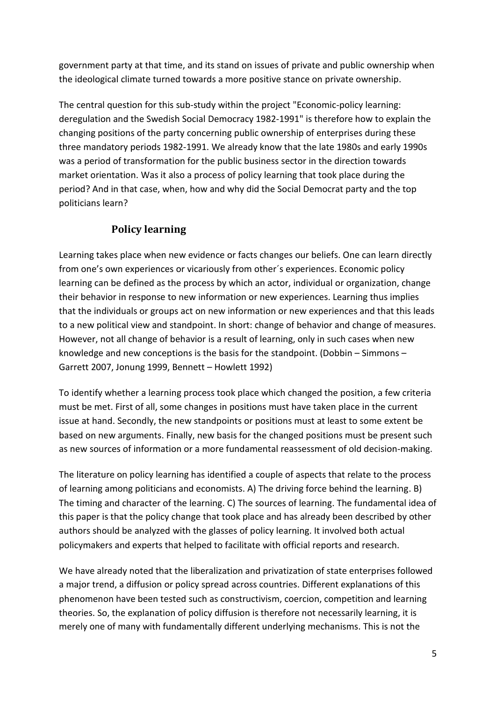government party at that time, and its stand on issues of private and public ownership when the ideological climate turned towards a more positive stance on private ownership.

The central question for this sub-study within the project "Economic-policy learning: deregulation and the Swedish Social Democracy 1982-1991" is therefore how to explain the changing positions of the party concerning public ownership of enterprises during these three mandatory periods 1982-1991. We already know that the late 1980s and early 1990s was a period of transformation for the public business sector in the direction towards market orientation. Was it also a process of policy learning that took place during the period? And in that case, when, how and why did the Social Democrat party and the top politicians learn?

# **Policy learning**

<span id="page-4-0"></span>Learning takes place when new evidence or facts changes our beliefs. One can learn directly from one's own experiences or vicariously from other´s experiences. Economic policy learning can be defined as the process by which an actor, individual or organization, change their behavior in response to new information or new experiences. Learning thus implies that the individuals or groups act on new information or new experiences and that this leads to a new political view and standpoint. In short: change of behavior and change of measures. However, not all change of behavior is a result of learning, only in such cases when new knowledge and new conceptions is the basis for the standpoint. (Dobbin – Simmons – Garrett 2007, Jonung 1999, Bennett – Howlett 1992)

To identify whether a learning process took place which changed the position, a few criteria must be met. First of all, some changes in positions must have taken place in the current issue at hand. Secondly, the new standpoints or positions must at least to some extent be based on new arguments. Finally, new basis for the changed positions must be present such as new sources of information or a more fundamental reassessment of old decision-making.

The literature on policy learning has identified a couple of aspects that relate to the process of learning among politicians and economists. A) The driving force behind the learning. B) The timing and character of the learning. C) The sources of learning. The fundamental idea of this paper is that the policy change that took place and has already been described by other authors should be analyzed with the glasses of policy learning. It involved both actual policymakers and experts that helped to facilitate with official reports and research.

We have already noted that the liberalization and privatization of state enterprises followed a major trend, a diffusion or policy spread across countries. Different explanations of this phenomenon have been tested such as constructivism, coercion, competition and learning theories. So, the explanation of policy diffusion is therefore not necessarily learning, it is merely one of many with fundamentally different underlying mechanisms. This is not the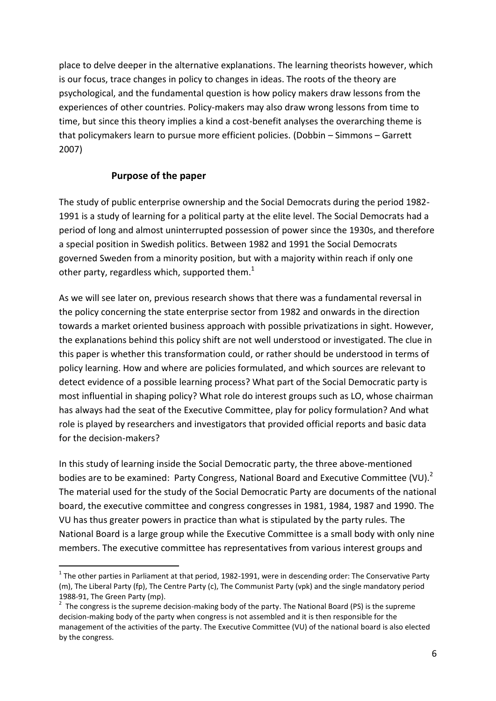place to delve deeper in the alternative explanations. The learning theorists however, which is our focus, trace changes in policy to changes in ideas. The roots of the theory are psychological, and the fundamental question is how policy makers draw lessons from the experiences of other countries. Policy-makers may also draw wrong lessons from time to time, but since this theory implies a kind a cost-benefit analyses the overarching theme is that policymakers learn to pursue more efficient policies. (Dobbin – Simmons – Garrett 2007)

## **Purpose of the paper**

**.** 

<span id="page-5-0"></span>The study of public enterprise ownership and the Social Democrats during the period 1982- 1991 is a study of learning for a political party at the elite level. The Social Democrats had a period of long and almost uninterrupted possession of power since the 1930s, and therefore a special position in Swedish politics. Between 1982 and 1991 the Social Democrats governed Sweden from a minority position, but with a majority within reach if only one other party, regardless which, supported them.<sup>1</sup>

As we will see later on, previous research shows that there was a fundamental reversal in the policy concerning the state enterprise sector from 1982 and onwards in the direction towards a market oriented business approach with possible privatizations in sight. However, the explanations behind this policy shift are not well understood or investigated. The clue in this paper is whether this transformation could, or rather should be understood in terms of policy learning. How and where are policies formulated, and which sources are relevant to detect evidence of a possible learning process? What part of the Social Democratic party is most influential in shaping policy? What role do interest groups such as LO, whose chairman has always had the seat of the Executive Committee, play for policy formulation? And what role is played by researchers and investigators that provided official reports and basic data for the decision-makers?

In this study of learning inside the Social Democratic party, the three above-mentioned bodies are to be examined: Party Congress, National Board and Executive Committee (VU).<sup>2</sup> The material used for the study of the Social Democratic Party are documents of the national board, the executive committee and congress congresses in 1981, 1984, 1987 and 1990. The VU has thus greater powers in practice than what is stipulated by the party rules. The National Board is a large group while the Executive Committee is a small body with only nine members. The executive committee has representatives from various interest groups and

 $^1$  The other parties in Parliament at that period, 1982-1991, were in descending order: The Conservative Party (m), The Liberal Party (fp), The Centre Party (c), The Communist Party (vpk) and the single mandatory period 1988-91, The Green Party (mp).

 $2$  The congress is the supreme decision-making body of the party. The National Board (PS) is the supreme decision-making body of the party when congress is not assembled and it is then responsible for the management of the activities of the party. The Executive Committee (VU) of the national board is also elected by the congress.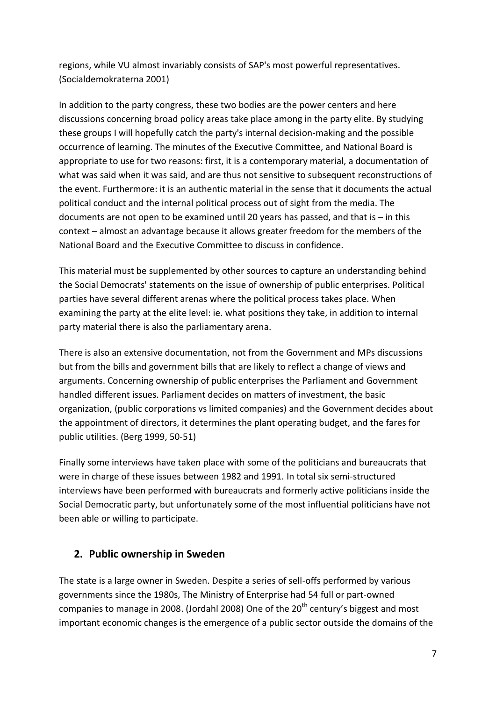regions, while VU almost invariably consists of SAP's most powerful representatives. (Socialdemokraterna 2001)

In addition to the party congress, these two bodies are the power centers and here discussions concerning broad policy areas take place among in the party elite. By studying these groups I will hopefully catch the party's internal decision-making and the possible occurrence of learning. The minutes of the Executive Committee, and National Board is appropriate to use for two reasons: first, it is a contemporary material, a documentation of what was said when it was said, and are thus not sensitive to subsequent reconstructions of the event. Furthermore: it is an authentic material in the sense that it documents the actual political conduct and the internal political process out of sight from the media. The documents are not open to be examined until 20 years has passed, and that is  $-$  in this context – almost an advantage because it allows greater freedom for the members of the National Board and the Executive Committee to discuss in confidence.

This material must be supplemented by other sources to capture an understanding behind the Social Democrats' statements on the issue of ownership of public enterprises. Political parties have several different arenas where the political process takes place. When examining the party at the elite level: ie. what positions they take, in addition to internal party material there is also the parliamentary arena.

There is also an extensive documentation, not from the Government and MPs discussions but from the bills and government bills that are likely to reflect a change of views and arguments. Concerning ownership of public enterprises the Parliament and Government handled different issues. Parliament decides on matters of investment, the basic organization, (public corporations vs limited companies) and the Government decides about the appointment of directors, it determines the plant operating budget, and the fares for public utilities. (Berg 1999, 50-51)

Finally some interviews have taken place with some of the politicians and bureaucrats that were in charge of these issues between 1982 and 1991. In total six semi-structured interviews have been performed with bureaucrats and formerly active politicians inside the Social Democratic party, but unfortunately some of the most influential politicians have not been able or willing to participate.

# <span id="page-6-0"></span>**2. Public ownership in Sweden**

The state is a large owner in Sweden. Despite a series of sell-offs performed by various governments since the 1980s, The Ministry of Enterprise had 54 full or part-owned companies to manage in 2008. (Jordahl 2008) One of the  $20<sup>th</sup>$  century's biggest and most important economic changes is the emergence of a public sector outside the domains of the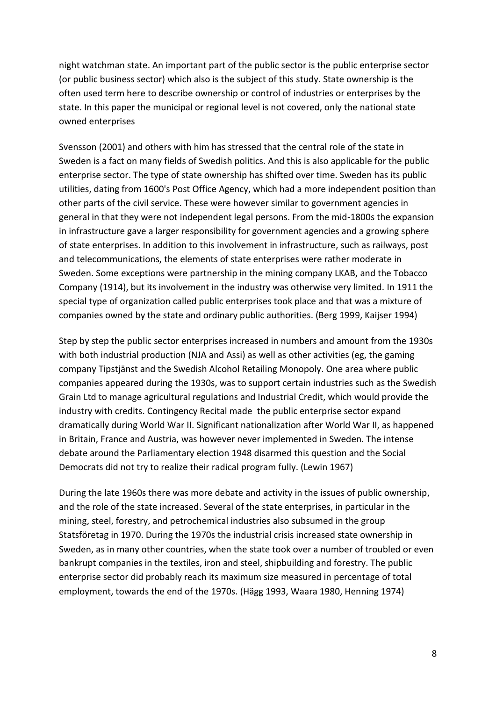night watchman state. An important part of the public sector is the public enterprise sector (or public business sector) which also is the subject of this study. State ownership is the often used term here to describe ownership or control of industries or enterprises by the state. In this paper the municipal or regional level is not covered, only the national state owned enterprises

Svensson (2001) and others with him has stressed that the central role of the state in Sweden is a fact on many fields of Swedish politics. And this is also applicable for the public enterprise sector. The type of state ownership has shifted over time. Sweden has its public utilities, dating from 1600's Post Office Agency, which had a more independent position than other parts of the civil service. These were however similar to government agencies in general in that they were not independent legal persons. From the mid-1800s the expansion in infrastructure gave a larger responsibility for government agencies and a growing sphere of state enterprises. In addition to this involvement in infrastructure, such as railways, post and telecommunications, the elements of state enterprises were rather moderate in Sweden. Some exceptions were partnership in the mining company LKAB, and the Tobacco Company (1914), but its involvement in the industry was otherwise very limited. In 1911 the special type of organization called public enterprises took place and that was a mixture of companies owned by the state and ordinary public authorities. (Berg 1999, Kaijser 1994)

Step by step the public sector enterprises increased in numbers and amount from the 1930s with both industrial production (NJA and Assi) as well as other activities (eg, the gaming company Tipstjänst and the Swedish Alcohol Retailing Monopoly. One area where public companies appeared during the 1930s, was to support certain industries such as the Swedish Grain Ltd to manage agricultural regulations and Industrial Credit, which would provide the industry with credits. Contingency Recital made the public enterprise sector expand dramatically during World War II. Significant nationalization after World War II, as happened in Britain, France and Austria, was however never implemented in Sweden. The intense debate around the Parliamentary election 1948 disarmed this question and the Social Democrats did not try to realize their radical program fully. (Lewin 1967)

During the late 1960s there was more debate and activity in the issues of public ownership, and the role of the state increased. Several of the state enterprises, in particular in the mining, steel, forestry, and petrochemical industries also subsumed in the group Statsföretag in 1970. During the 1970s the industrial crisis increased state ownership in Sweden, as in many other countries, when the state took over a number of troubled or even bankrupt companies in the textiles, iron and steel, shipbuilding and forestry. The public enterprise sector did probably reach its maximum size measured in percentage of total employment, towards the end of the 1970s. (Hägg 1993, Waara 1980, Henning 1974)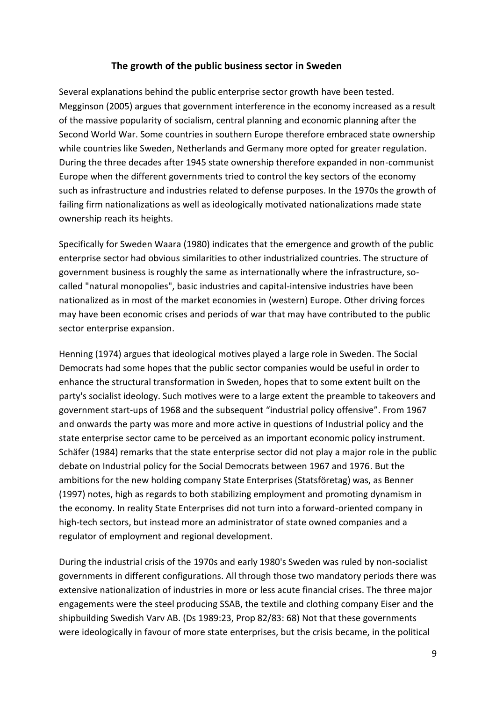## **The growth of the public business sector in Sweden**

<span id="page-8-0"></span>Several explanations behind the public enterprise sector growth have been tested. Megginson (2005) argues that government interference in the economy increased as a result of the massive popularity of socialism, central planning and economic planning after the Second World War. Some countries in southern Europe therefore embraced state ownership while countries like Sweden, Netherlands and Germany more opted for greater regulation. During the three decades after 1945 state ownership therefore expanded in non-communist Europe when the different governments tried to control the key sectors of the economy such as infrastructure and industries related to defense purposes. In the 1970s the growth of failing firm nationalizations as well as ideologically motivated nationalizations made state ownership reach its heights.

Specifically for Sweden Waara (1980) indicates that the emergence and growth of the public enterprise sector had obvious similarities to other industrialized countries. The structure of government business is roughly the same as internationally where the infrastructure, socalled "natural monopolies", basic industries and capital-intensive industries have been nationalized as in most of the market economies in (western) Europe. Other driving forces may have been economic crises and periods of war that may have contributed to the public sector enterprise expansion.

Henning (1974) argues that ideological motives played a large role in Sweden. The Social Democrats had some hopes that the public sector companies would be useful in order to enhance the structural transformation in Sweden, hopes that to some extent built on the party's socialist ideology. Such motives were to a large extent the preamble to takeovers and government start-ups of 1968 and the subsequent "industrial policy offensive". From 1967 and onwards the party was more and more active in questions of Industrial policy and the state enterprise sector came to be perceived as an important economic policy instrument. Schäfer (1984) remarks that the state enterprise sector did not play a major role in the public debate on Industrial policy for the Social Democrats between 1967 and 1976. But the ambitions for the new holding company State Enterprises (Statsföretag) was, as Benner (1997) notes, high as regards to both stabilizing employment and promoting dynamism in the economy. In reality State Enterprises did not turn into a forward-oriented company in high-tech sectors, but instead more an administrator of state owned companies and a regulator of employment and regional development.

During the industrial crisis of the 1970s and early 1980's Sweden was ruled by non-socialist governments in different configurations. All through those two mandatory periods there was extensive nationalization of industries in more or less acute financial crises. The three major engagements were the steel producing SSAB, the textile and clothing company Eiser and the shipbuilding Swedish Varv AB. (Ds 1989:23, Prop 82/83: 68) Not that these governments were ideologically in favour of more state enterprises, but the crisis became, in the political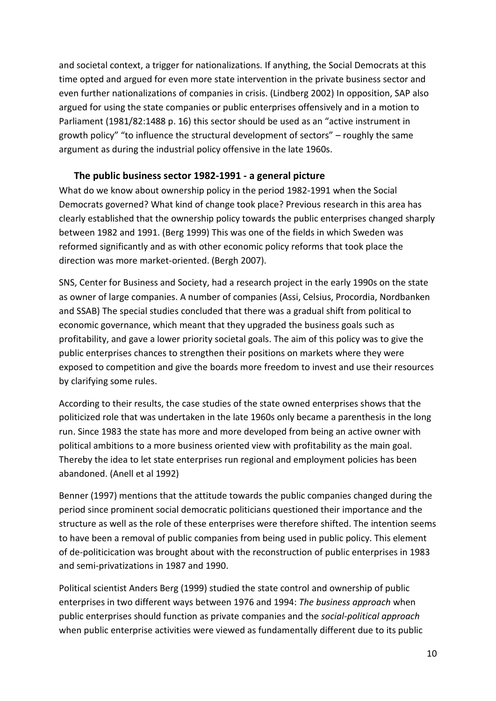and societal context, a trigger for nationalizations. If anything, the Social Democrats at this time opted and argued for even more state intervention in the private business sector and even further nationalizations of companies in crisis. (Lindberg 2002) In opposition, SAP also argued for using the state companies or public enterprises offensively and in a motion to Parliament (1981/82:1488 p. 16) this sector should be used as an "active instrument in growth policy" "to influence the structural development of sectors" – roughly the same argument as during the industrial policy offensive in the late 1960s.

#### **The public business sector 1982-1991 - a general picture**

<span id="page-9-0"></span>What do we know about ownership policy in the period 1982-1991 when the Social Democrats governed? What kind of change took place? Previous research in this area has clearly established that the ownership policy towards the public enterprises changed sharply between 1982 and 1991. (Berg 1999) This was one of the fields in which Sweden was reformed significantly and as with other economic policy reforms that took place the direction was more market-oriented. (Bergh 2007).

SNS, Center for Business and Society, had a research project in the early 1990s on the state as owner of large companies. A number of companies (Assi, Celsius, Procordia, Nordbanken and SSAB) The special studies concluded that there was a gradual shift from political to economic governance, which meant that they upgraded the business goals such as profitability, and gave a lower priority societal goals. The aim of this policy was to give the public enterprises chances to strengthen their positions on markets where they were exposed to competition and give the boards more freedom to invest and use their resources by clarifying some rules.

According to their results, the case studies of the state owned enterprises shows that the politicized role that was undertaken in the late 1960s only became a parenthesis in the long run. Since 1983 the state has more and more developed from being an active owner with political ambitions to a more business oriented view with profitability as the main goal. Thereby the idea to let state enterprises run regional and employment policies has been abandoned. (Anell et al 1992)

Benner (1997) mentions that the attitude towards the public companies changed during the period since prominent social democratic politicians questioned their importance and the structure as well as the role of these enterprises were therefore shifted. The intention seems to have been a removal of public companies from being used in public policy. This element of de-politicication was brought about with the reconstruction of public enterprises in 1983 and semi-privatizations in 1987 and 1990.

Political scientist Anders Berg (1999) studied the state control and ownership of public enterprises in two different ways between 1976 and 1994: *The business approach* when public enterprises should function as private companies and the *social-political approach* when public enterprise activities were viewed as fundamentally different due to its public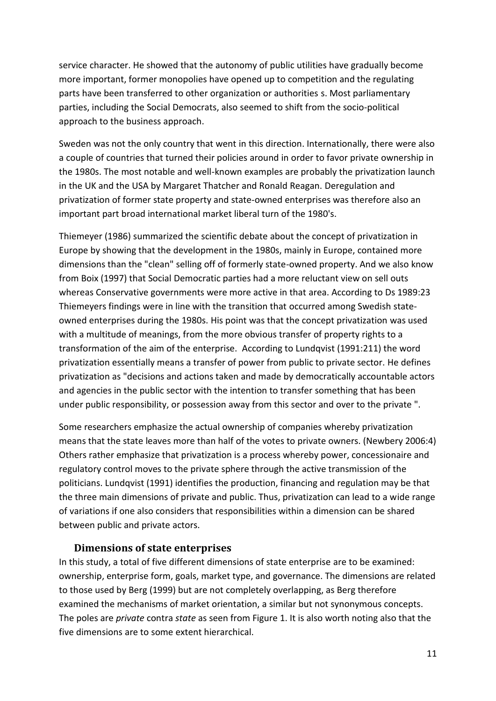service character. He showed that the autonomy of public utilities have gradually become more important, former monopolies have opened up to competition and the regulating parts have been transferred to other organization or authorities s. Most parliamentary parties, including the Social Democrats, also seemed to shift from the socio-political approach to the business approach.

Sweden was not the only country that went in this direction. Internationally, there were also a couple of countries that turned their policies around in order to favor private ownership in the 1980s. The most notable and well-known examples are probably the privatization launch in the UK and the USA by Margaret Thatcher and Ronald Reagan. Deregulation and privatization of former state property and state-owned enterprises was therefore also an important part broad international market liberal turn of the 1980's.

Thiemeyer (1986) summarized the scientific debate about the concept of privatization in Europe by showing that the development in the 1980s, mainly in Europe, contained more dimensions than the "clean" selling off of formerly state-owned property. And we also know from Boix (1997) that Social Democratic parties had a more reluctant view on sell outs whereas Conservative governments were more active in that area. According to Ds 1989:23 Thiemeyers findings were in line with the transition that occurred among Swedish stateowned enterprises during the 1980s. His point was that the concept privatization was used with a multitude of meanings, from the more obvious transfer of property rights to a transformation of the aim of the enterprise. According to Lundqvist (1991:211) the word privatization essentially means a transfer of power from public to private sector. He defines privatization as "decisions and actions taken and made by democratically accountable actors and agencies in the public sector with the intention to transfer something that has been under public responsibility, or possession away from this sector and over to the private ".

Some researchers emphasize the actual ownership of companies whereby privatization means that the state leaves more than half of the votes to private owners. (Newbery 2006:4) Others rather emphasize that privatization is a process whereby power, concessionaire and regulatory control moves to the private sphere through the active transmission of the politicians. Lundqvist (1991) identifies the production, financing and regulation may be that the three main dimensions of private and public. Thus, privatization can lead to a wide range of variations if one also considers that responsibilities within a dimension can be shared between public and private actors.

#### **Dimensions of state enterprises**

<span id="page-10-0"></span>In this study, a total of five different dimensions of state enterprise are to be examined: ownership, enterprise form, goals, market type, and governance. The dimensions are related to those used by Berg (1999) but are not completely overlapping, as Berg therefore examined the mechanisms of market orientation, a similar but not synonymous concepts. The poles are *private* contra *state* as seen from Figure 1. It is also worth noting also that the five dimensions are to some extent hierarchical.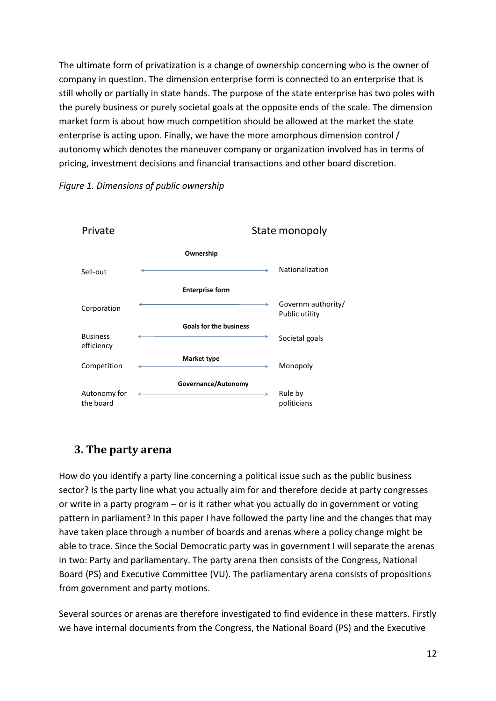The ultimate form of privatization is a change of ownership concerning who is the owner of company in question. The dimension enterprise form is connected to an enterprise that is still wholly or partially in state hands. The purpose of the state enterprise has two poles with the purely business or purely societal goals at the opposite ends of the scale. The dimension market form is about how much competition should be allowed at the market the state enterprise is acting upon. Finally, we have the more amorphous dimension control / autonomy which denotes the maneuver company or organization involved has in terms of pricing, investment decisions and financial transactions and other board discretion.





# <span id="page-11-0"></span>**3. The party arena**

How do you identify a party line concerning a political issue such as the public business sector? Is the party line what you actually aim for and therefore decide at party congresses or write in a party program – or is it rather what you actually do in government or voting pattern in parliament? In this paper I have followed the party line and the changes that may have taken place through a number of boards and arenas where a policy change might be able to trace. Since the Social Democratic party was in government I will separate the arenas in two: Party and parliamentary. The party arena then consists of the Congress, National Board (PS) and Executive Committee (VU). The parliamentary arena consists of propositions from government and party motions.

Several sources or arenas are therefore investigated to find evidence in these matters. Firstly we have internal documents from the Congress, the National Board (PS) and the Executive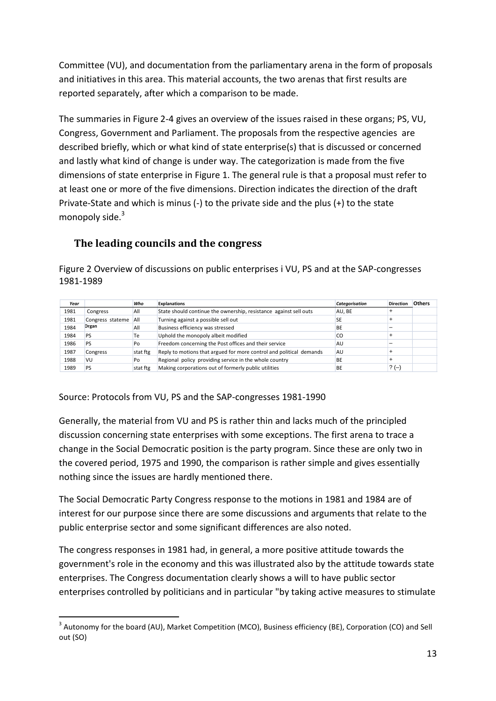Committee (VU), and documentation from the parliamentary arena in the form of proposals and initiatives in this area. This material accounts, the two arenas that first results are reported separately, after which a comparison to be made.

The summaries in Figure 2-4 gives an overview of the issues raised in these organs; PS, VU, Congress, Government and Parliament. The proposals from the respective agencies are described briefly, which or what kind of state enterprise(s) that is discussed or concerned and lastly what kind of change is under way. The categorization is made from the five dimensions of state enterprise in Figure 1. The general rule is that a proposal must refer to at least one or more of the five dimensions. Direction indicates the direction of the draft Private-State and which is minus (-) to the private side and the plus (+) to the state monopoly side. $3$ 

# <span id="page-12-0"></span>**The leading councils and the congress**

Figure 2 Overview of discussions on public enterprises i VU, PS and at the SAP-congresses 1981-1989

| Year |                  | Who      | <b>Explanations</b>                                                 | Categorisation | <b>Direction</b> | <b>Others</b> |
|------|------------------|----------|---------------------------------------------------------------------|----------------|------------------|---------------|
| 1981 | Congress         | All      | State should continue the ownership, resistance against sell outs   | AU, BE         |                  |               |
| 1981 | Congress stateme | All      | Turning against a possible sell out                                 | SE             |                  |               |
| 1984 | Organ            | All      | Business efficiency was stressed                                    | BE             |                  |               |
| 1984 | PS               | Тe       | Uphold the monopoly albeit modified                                 | CO             |                  |               |
| 1986 | PS               | Po       | Freedom concerning the Post offices and their service               | AU             |                  |               |
| 1987 | Congress         | stat ftg | Reply to motions that argued for more control and political demands | AU             |                  |               |
| 1988 | VU               | Po       | Regional policy providing service in the whole country              | BE             |                  |               |
| 1989 | PS               | stat ftg | Making corporations out of formerly public utilities                | BE             | $? (-)$          |               |

Source: Protocols from VU, PS and the SAP-congresses 1981-1990

Generally, the material from VU and PS is rather thin and lacks much of the principled discussion concerning state enterprises with some exceptions. The first arena to trace a change in the Social Democratic position is the party program. Since these are only two in the covered period, 1975 and 1990, the comparison is rather simple and gives essentially nothing since the issues are hardly mentioned there.

The Social Democratic Party Congress response to the motions in 1981 and 1984 are of interest for our purpose since there are some discussions and arguments that relate to the public enterprise sector and some significant differences are also noted.

The congress responses in 1981 had, in general, a more positive attitude towards the government's role in the economy and this was illustrated also by the attitude towards state enterprises. The Congress documentation clearly shows a will to have public sector enterprises controlled by politicians and in particular "by taking active measures to stimulate

**<sup>.</sup>**  $3$  Autonomy for the board (AU), Market Competition (MCO), Business efficiency (BE), Corporation (CO) and Sell out (SO)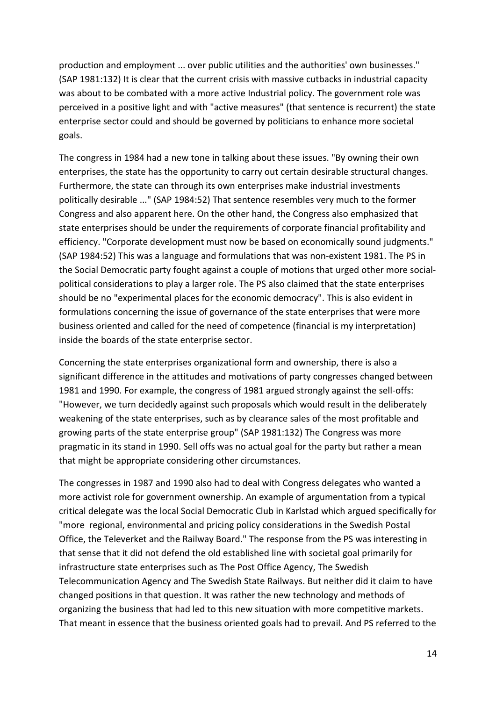production and employment ... over public utilities and the authorities' own businesses." (SAP 1981:132) It is clear that the current crisis with massive cutbacks in industrial capacity was about to be combated with a more active Industrial policy. The government role was perceived in a positive light and with "active measures" (that sentence is recurrent) the state enterprise sector could and should be governed by politicians to enhance more societal goals.

The congress in 1984 had a new tone in talking about these issues. "By owning their own enterprises, the state has the opportunity to carry out certain desirable structural changes. Furthermore, the state can through its own enterprises make industrial investments politically desirable ..." (SAP 1984:52) That sentence resembles very much to the former Congress and also apparent here. On the other hand, the Congress also emphasized that state enterprises should be under the requirements of corporate financial profitability and efficiency. "Corporate development must now be based on economically sound judgments." (SAP 1984:52) This was a language and formulations that was non-existent 1981. The PS in the Social Democratic party fought against a couple of motions that urged other more socialpolitical considerations to play a larger role. The PS also claimed that the state enterprises should be no "experimental places for the economic democracy". This is also evident in formulations concerning the issue of governance of the state enterprises that were more business oriented and called for the need of competence (financial is my interpretation) inside the boards of the state enterprise sector.

Concerning the state enterprises organizational form and ownership, there is also a significant difference in the attitudes and motivations of party congresses changed between 1981 and 1990. For example, the congress of 1981 argued strongly against the sell-offs: "However, we turn decidedly against such proposals which would result in the deliberately weakening of the state enterprises, such as by clearance sales of the most profitable and growing parts of the state enterprise group" (SAP 1981:132) The Congress was more pragmatic in its stand in 1990. Sell offs was no actual goal for the party but rather a mean that might be appropriate considering other circumstances.

The congresses in 1987 and 1990 also had to deal with Congress delegates who wanted a more activist role for government ownership. An example of argumentation from a typical critical delegate was the local Social Democratic Club in Karlstad which argued specifically for "more regional, environmental and pricing policy considerations in the Swedish Postal Office, the Televerket and the Railway Board." The response from the PS was interesting in that sense that it did not defend the old established line with societal goal primarily for infrastructure state enterprises such as The Post Office Agency, The Swedish Telecommunication Agency and The Swedish State Railways. But neither did it claim to have changed positions in that question. It was rather the new technology and methods of organizing the business that had led to this new situation with more competitive markets. That meant in essence that the business oriented goals had to prevail. And PS referred to the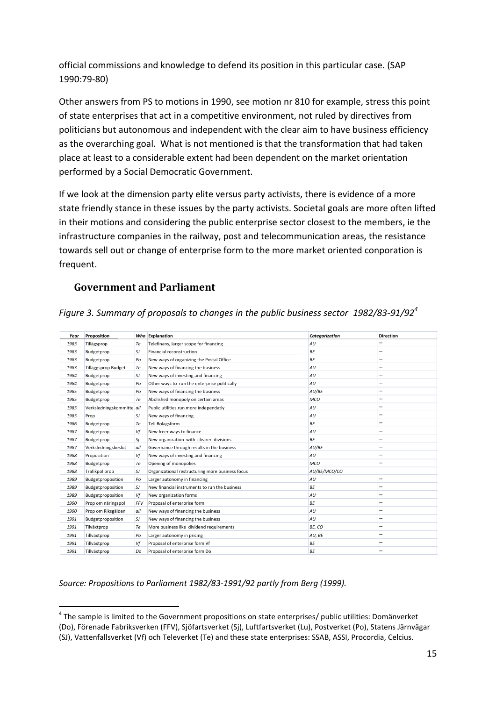official commissions and knowledge to defend its position in this particular case. (SAP 1990:79-80)

Other answers from PS to motions in 1990, see motion nr 810 for example, stress this point of state enterprises that act in a competitive environment, not ruled by directives from politicians but autonomous and independent with the clear aim to have business efficiency as the overarching goal. What is not mentioned is that the transformation that had taken place at least to a considerable extent had been dependent on the market orientation performed by a Social Democratic Government.

If we look at the dimension party elite versus party activists, there is evidence of a more state friendly stance in these issues by the party activists. Societal goals are more often lifted in their motions and considering the public enterprise sector closest to the members, ie the infrastructure companies in the railway, post and telecommunication areas, the resistance towards sell out or change of enterprise form to the more market oriented conporation is frequent.

## <span id="page-14-0"></span>**Government and Parliament**

| Figure 3. Summary of proposals to changes in the public business sector 1982/83-91/92 <sup>4</sup> |  |  |  |  |  |  |  |
|----------------------------------------------------------------------------------------------------|--|--|--|--|--|--|--|
|----------------------------------------------------------------------------------------------------|--|--|--|--|--|--|--|

| Year | Proposition               |            | Who Explanation                                  | Categorization | <b>Direction</b> |
|------|---------------------------|------------|--------------------------------------------------|----------------|------------------|
| 1983 | Tillägsprop               | Te         | Telefinans, larger scope for financing           | AU             |                  |
| 1983 | Budgetprop                | <b>SJ</b>  | Financial reconstruction                         | ΒE             |                  |
| 1983 | Budgetprop                | Po         | New ways of organizing the Postal Office         | <b>BE</b>      |                  |
| 1983 | Tilläggsprop Budget       | Тe         | New ways of financing the business               | AU             |                  |
| 1984 | Budgetprop                | <b>SJ</b>  | New ways of investing and financing              | AU             |                  |
| 1984 | Budgetprop                | Po         | Other ways to run the enterprise politically     | AU             |                  |
| 1985 | Budgetprop                | Po         | New ways of financing the business               | AU/BE          |                  |
| 1985 | Budgetprop                | <b>Te</b>  | Abolished monopoly on certain areas              | <b>MCO</b>     |                  |
| 1985 | Verksledningskommitte all |            | Public utilities run more independatly           | AU             |                  |
| 1985 | Prop                      | <b>SJ</b>  | New ways of finanzing                            | AU             |                  |
| 1986 | Budgetprop                | Тe         | Teli Bolagsform                                  | ΒE             |                  |
| 1987 | Budgetprop                | Vf         | New freer ways to finance                        | AU             |                  |
| 1987 | Budgetprop                | Si         | New organization with clearer divisions          | <b>BF</b>      |                  |
| 1987 | Verksledningsbeslut       | all        | Governance through results in the business       | AU/BE          |                  |
| 1988 | Proposition               | Vf         | New ways of investing and financing              | AU             |                  |
| 1988 | Budgetprop                | <b>Te</b>  | Opening of monopolies                            | MCO            |                  |
| 1988 | Trafikpol prop            | <b>SJ</b>  | Organizational restructuring more business focus | AU/BE/MCO/CO   |                  |
| 1989 | Budgetproposition         | Po         | Larger autonomy in financing                     | AU             |                  |
| 1989 | Budgetproposition         | <b>SJ</b>  | New financial instruments to run the business    | ΒE             |                  |
| 1989 | Budgetproposition         | Vf         | New organization forms                           | AU             |                  |
| 1990 | Prop om näringspol        | <b>FFV</b> | Proposal of enterprise form                      | <b>BE</b>      |                  |
| 1990 | Prop om Riksgälden        | all        | New ways of financing the business               | AU             |                  |
| 1991 | Budgetproposition         | SJ         | New ways of financing the business               | AU             |                  |
| 1991 | Tilväxtprop               | Тe         | More business like dividend requirements         | BE. CO         |                  |
| 1991 | Tillväxtprop              | Po         | Larger autonomy in pricing                       | AU, BE         |                  |
| 1991 | Tillväxtprop              | Vf         | Proposal of enterprise form Vf                   | BE             |                  |
| 1991 | Tillväxtprop              | Do         | Proposal of enterprise form Do                   | <b>BF</b>      |                  |

*Source: Propositions to Parliament 1982/83-1991/92 partly from Berg (1999).*

**<sup>.</sup>**  $<sup>4</sup>$  The sample is limited to the Government propositions on state enterprises/ public utilities: Domänverket</sup> (Do), Förenade Fabriksverken (FFV), Sjöfartsverket (Sj), Luftfartsverket (Lu), Postverket (Po), Statens Järnvägar

<sup>(</sup>SJ), Vattenfallsverket (Vf) och Televerket (Te) and these state enterprises: SSAB, ASSI, Procordia, Celcius.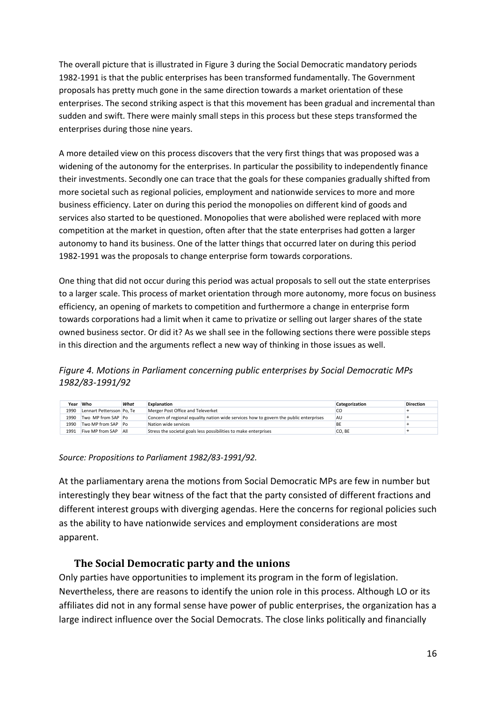The overall picture that is illustrated in Figure 3 during the Social Democratic mandatory periods 1982-1991 is that the public enterprises has been transformed fundamentally. The Government proposals has pretty much gone in the same direction towards a market orientation of these enterprises. The second striking aspect is that this movement has been gradual and incremental than sudden and swift. There were mainly small steps in this process but these steps transformed the enterprises during those nine years.

A more detailed view on this process discovers that the very first things that was proposed was a widening of the autonomy for the enterprises. In particular the possibility to independently finance their investments. Secondly one can trace that the goals for these companies gradually shifted from more societal such as regional policies, employment and nationwide services to more and more business efficiency. Later on during this period the monopolies on different kind of goods and services also started to be questioned. Monopolies that were abolished were replaced with more competition at the market in question, often after that the state enterprises had gotten a larger autonomy to hand its business. One of the latter things that occurred later on during this period 1982-1991 was the proposals to change enterprise form towards corporations.

One thing that did not occur during this period was actual proposals to sell out the state enterprises to a larger scale. This process of market orientation through more autonomy, more focus on business efficiency, an opening of markets to competition and furthermore a change in enterprise form towards corporations had a limit when it came to privatize or selling out larger shares of the state owned business sector. Or did it? As we shall see in the following sections there were possible steps in this direction and the arguments reflect a new way of thinking in those issues as well.

*Figure 4. Motions in Parliament concerning public enterprises by Social Democratic MPs 1982/83-1991/92*

| Year | Who                       | What | <b>Explanation</b>                                                                     | Categorization | <b>Direction</b> |
|------|---------------------------|------|----------------------------------------------------------------------------------------|----------------|------------------|
| 1990 | Lennart Pettersson Po. Te |      | Merger Post Office and Televerket                                                      |                |                  |
| 1990 | Two MP from SAP Po        |      | Concern of regional equality nation wide services how to govern the public enterprises | AU             |                  |
| 1990 | Two MP from SAP Po        |      | Nation wide services                                                                   |                |                  |
| 1991 | Five MP from SAP          | All  | Stress the societal goals less possibilities to make enterprises                       | CO. BE         |                  |

*Source: Propositions to Parliament 1982/83-1991/92.*

At the parliamentary arena the motions from Social Democratic MPs are few in number but interestingly they bear witness of the fact that the party consisted of different fractions and different interest groups with diverging agendas. Here the concerns for regional policies such as the ability to have nationwide services and employment considerations are most apparent.

## **The Social Democratic party and the unions**

<span id="page-15-0"></span>Only parties have opportunities to implement its program in the form of legislation. Nevertheless, there are reasons to identify the union role in this process. Although LO or its affiliates did not in any formal sense have power of public enterprises, the organization has a large indirect influence over the Social Democrats. The close links politically and financially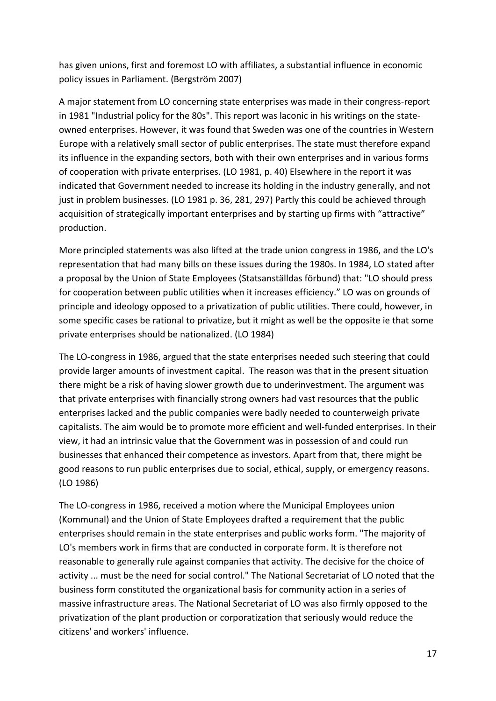has given unions, first and foremost LO with affiliates, a substantial influence in economic policy issues in Parliament. (Bergström 2007)

A major statement from LO concerning state enterprises was made in their congress-report in 1981 "Industrial policy for the 80s". This report was laconic in his writings on the stateowned enterprises. However, it was found that Sweden was one of the countries in Western Europe with a relatively small sector of public enterprises. The state must therefore expand its influence in the expanding sectors, both with their own enterprises and in various forms of cooperation with private enterprises. (LO 1981, p. 40) Elsewhere in the report it was indicated that Government needed to increase its holding in the industry generally, and not just in problem businesses. (LO 1981 p. 36, 281, 297) Partly this could be achieved through acquisition of strategically important enterprises and by starting up firms with "attractive" production.

More principled statements was also lifted at the trade union congress in 1986, and the LO's representation that had many bills on these issues during the 1980s. In 1984, LO stated after a proposal by the Union of State Employees (Statsanställdas förbund) that: "LO should press for cooperation between public utilities when it increases efficiency." LO was on grounds of principle and ideology opposed to a privatization of public utilities. There could, however, in some specific cases be rational to privatize, but it might as well be the opposite ie that some private enterprises should be nationalized. (LO 1984)

The LO-congress in 1986, argued that the state enterprises needed such steering that could provide larger amounts of investment capital. The reason was that in the present situation there might be a risk of having slower growth due to underinvestment. The argument was that private enterprises with financially strong owners had vast resources that the public enterprises lacked and the public companies were badly needed to counterweigh private capitalists. The aim would be to promote more efficient and well-funded enterprises. In their view, it had an intrinsic value that the Government was in possession of and could run businesses that enhanced their competence as investors. Apart from that, there might be good reasons to run public enterprises due to social, ethical, supply, or emergency reasons. (LO 1986)

The LO-congress in 1986, received a motion where the Municipal Employees union (Kommunal) and the Union of State Employees drafted a requirement that the public enterprises should remain in the state enterprises and public works form. "The majority of LO's members work in firms that are conducted in corporate form. It is therefore not reasonable to generally rule against companies that activity. The decisive for the choice of activity ... must be the need for social control." The National Secretariat of LO noted that the business form constituted the organizational basis for community action in a series of massive infrastructure areas. The National Secretariat of LO was also firmly opposed to the privatization of the plant production or corporatization that seriously would reduce the citizens' and workers' influence.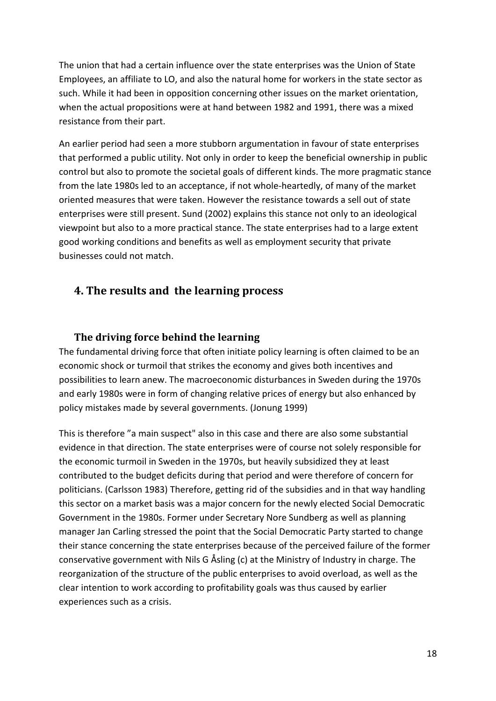The union that had a certain influence over the state enterprises was the Union of State Employees, an affiliate to LO, and also the natural home for workers in the state sector as such. While it had been in opposition concerning other issues on the market orientation, when the actual propositions were at hand between 1982 and 1991, there was a mixed resistance from their part.

An earlier period had seen a more stubborn argumentation in favour of state enterprises that performed a public utility. Not only in order to keep the beneficial ownership in public control but also to promote the societal goals of different kinds. The more pragmatic stance from the late 1980s led to an acceptance, if not whole-heartedly, of many of the market oriented measures that were taken. However the resistance towards a sell out of state enterprises were still present. Sund (2002) explains this stance not only to an ideological viewpoint but also to a more practical stance. The state enterprises had to a large extent good working conditions and benefits as well as employment security that private businesses could not match.

# <span id="page-17-0"></span>**4. The results and the learning process**

## <span id="page-17-1"></span>**The driving force behind the learning**

The fundamental driving force that often initiate policy learning is often claimed to be an economic shock or turmoil that strikes the economy and gives both incentives and possibilities to learn anew. The macroeconomic disturbances in Sweden during the 1970s and early 1980s were in form of changing relative prices of energy but also enhanced by policy mistakes made by several governments. (Jonung 1999)

This is therefore "a main suspect" also in this case and there are also some substantial evidence in that direction. The state enterprises were of course not solely responsible for the economic turmoil in Sweden in the 1970s, but heavily subsidized they at least contributed to the budget deficits during that period and were therefore of concern for politicians. (Carlsson 1983) Therefore, getting rid of the subsidies and in that way handling this sector on a market basis was a major concern for the newly elected Social Democratic Government in the 1980s. Former under Secretary Nore Sundberg as well as planning manager Jan Carling stressed the point that the Social Democratic Party started to change their stance concerning the state enterprises because of the perceived failure of the former conservative government with Nils G Åsling (c) at the Ministry of Industry in charge. The reorganization of the structure of the public enterprises to avoid overload, as well as the clear intention to work according to profitability goals was thus caused by earlier experiences such as a crisis.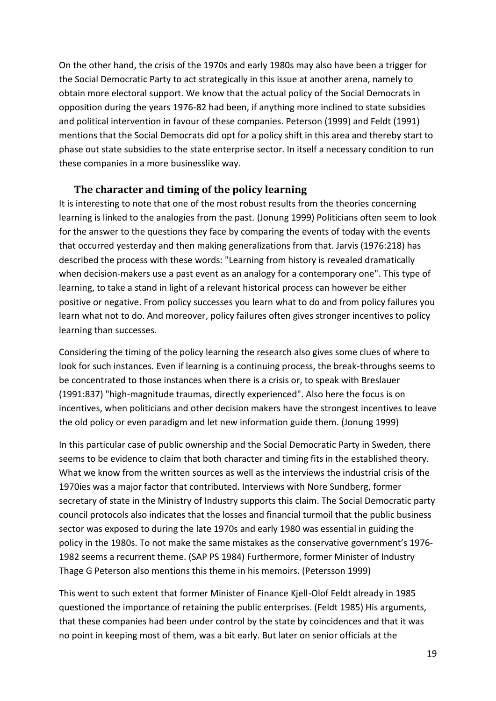On the other hand, the crisis of the 1970s and early 1980s may also have been a trigger for the Social Democratic Party to act strategically in this issue at another arena, namely to obtain more electoral support. We know that the actual policy of the Social Democrats in opposition during the years 1976-82 had been, if anything more inclined to state subsidies and political intervention in favour of these companies. Peterson (1999) and Feldt (1991) mentions that the Social Democrats did opt for a policy shift in this area and thereby start to phase out state subsidies to the state enterprise sector. In itself a necessary condition to run these companies in a more businesslike way.

#### **The character and timing of the policy learning**

<span id="page-18-0"></span>It is interesting to note that one of the most robust results from the theories concerning learning is linked to the analogies from the past. (Jonung 1999) Politicians often seem to look for the answer to the questions they face by comparing the events of today with the events that occurred yesterday and then making generalizations from that. Jarvis (1976:218) has described the process with these words: "Learning from history is revealed dramatically when decision-makers use a past event as an analogy for a contemporary one". This type of learning, to take a stand in light of a relevant historical process can however be either positive or negative. From policy successes you learn what to do and from policy failures you learn what not to do. And moreover, policy failures often gives stronger incentives to policy learning than successes.

Considering the timing of the policy learning the research also gives some clues of where to look for such instances. Even if learning is a continuing process, the break-throughs seems to be concentrated to those instances when there is a crisis or, to speak with Breslauer (1991:837) "high-magnitude traumas, directly experienced". Also here the focus is on incentives, when politicians and other decision makers have the strongest incentives to leave the old policy or even paradigm and let new information guide them. (Jonung 1999)

In this particular case of public ownership and the Social Democratic Party in Sweden, there seems to be evidence to claim that both character and timing fits in the established theory. What we know from the written sources as well as the interviews the industrial crisis of the 1970ies was a major factor that contributed. Interviews with Nore Sundberg, former secretary of state in the Ministry of Industry supports this claim. The Social Democratic party council protocols also indicates that the losses and financial turmoil that the public business sector was exposed to during the late 1970s and early 1980 was essential in guiding the policy in the 1980s. To not make the same mistakes as the conservative government's 1976- 1982 seems a recurrent theme. (SAP PS 1984) Furthermore, former Minister of Industry Thage G Peterson also mentions this theme in his memoirs. (Petersson 1999)

This went to such extent that former Minister of Finance Kjell-Olof Feldt already in 1985 questioned the importance of retaining the public enterprises. (Feldt 1985) His arguments, that these companies had been under control by the state by coincidences and that it was no point in keeping most of them, was a bit early. But later on senior officials at the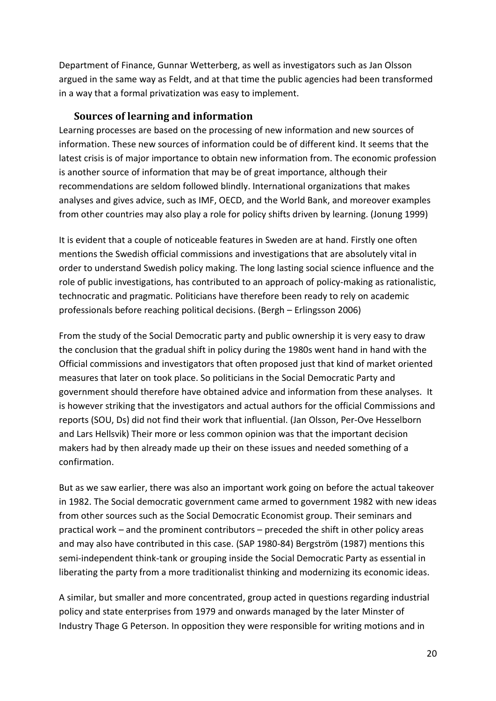Department of Finance, Gunnar Wetterberg, as well as investigators such as Jan Olsson argued in the same way as Feldt, and at that time the public agencies had been transformed in a way that a formal privatization was easy to implement.

## **Sources of learning and information**

<span id="page-19-0"></span>Learning processes are based on the processing of new information and new sources of information. These new sources of information could be of different kind. It seems that the latest crisis is of major importance to obtain new information from. The economic profession is another source of information that may be of great importance, although their recommendations are seldom followed blindly. International organizations that makes analyses and gives advice, such as IMF, OECD, and the World Bank, and moreover examples from other countries may also play a role for policy shifts driven by learning. (Jonung 1999)

It is evident that a couple of noticeable features in Sweden are at hand. Firstly one often mentions the Swedish official commissions and investigations that are absolutely vital in order to understand Swedish policy making. The long lasting social science influence and the role of public investigations, has contributed to an approach of policy-making as rationalistic, technocratic and pragmatic. Politicians have therefore been ready to rely on academic professionals before reaching political decisions. (Bergh – Erlingsson 2006)

From the study of the Social Democratic party and public ownership it is very easy to draw the conclusion that the gradual shift in policy during the 1980s went hand in hand with the Official commissions and investigators that often proposed just that kind of market oriented measures that later on took place. So politicians in the Social Democratic Party and government should therefore have obtained advice and information from these analyses. It is however striking that the investigators and actual authors for the official Commissions and reports (SOU, Ds) did not find their work that influential. (Jan Olsson, Per-Ove Hesselborn and Lars Hellsvik) Their more or less common opinion was that the important decision makers had by then already made up their on these issues and needed something of a confirmation.

But as we saw earlier, there was also an important work going on before the actual takeover in 1982. The Social democratic government came armed to government 1982 with new ideas from other sources such as the Social Democratic Economist group. Their seminars and practical work – and the prominent contributors – preceded the shift in other policy areas and may also have contributed in this case. (SAP 1980-84) Bergström (1987) mentions this semi-independent think-tank or grouping inside the Social Democratic Party as essential in liberating the party from a more traditionalist thinking and modernizing its economic ideas.

A similar, but smaller and more concentrated, group acted in questions regarding industrial policy and state enterprises from 1979 and onwards managed by the later Minster of Industry Thage G Peterson. In opposition they were responsible for writing motions and in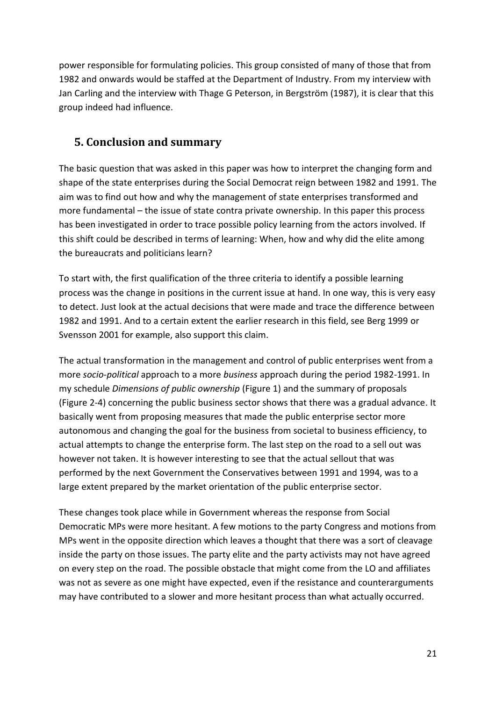power responsible for formulating policies. This group consisted of many of those that from 1982 and onwards would be staffed at the Department of Industry. From my interview with Jan Carling and the interview with Thage G Peterson, in Bergström (1987), it is clear that this group indeed had influence.

# <span id="page-20-0"></span>**5. Conclusion and summary**

The basic question that was asked in this paper was how to interpret the changing form and shape of the state enterprises during the Social Democrat reign between 1982 and 1991. The aim was to find out how and why the management of state enterprises transformed and more fundamental – the issue of state contra private ownership. In this paper this process has been investigated in order to trace possible policy learning from the actors involved. If this shift could be described in terms of learning: When, how and why did the elite among the bureaucrats and politicians learn?

To start with, the first qualification of the three criteria to identify a possible learning process was the change in positions in the current issue at hand. In one way, this is very easy to detect. Just look at the actual decisions that were made and trace the difference between 1982 and 1991. And to a certain extent the earlier research in this field, see Berg 1999 or Svensson 2001 for example, also support this claim.

The actual transformation in the management and control of public enterprises went from a more *socio-political* approach to a more *business* approach during the period 1982-1991. In my schedule *Dimensions of public ownership* (Figure 1) and the summary of proposals (Figure 2-4) concerning the public business sector shows that there was a gradual advance. It basically went from proposing measures that made the public enterprise sector more autonomous and changing the goal for the business from societal to business efficiency, to actual attempts to change the enterprise form. The last step on the road to a sell out was however not taken. It is however interesting to see that the actual sellout that was performed by the next Government the Conservatives between 1991 and 1994, was to a large extent prepared by the market orientation of the public enterprise sector.

These changes took place while in Government whereas the response from Social Democratic MPs were more hesitant. A few motions to the party Congress and motions from MPs went in the opposite direction which leaves a thought that there was a sort of cleavage inside the party on those issues. The party elite and the party activists may not have agreed on every step on the road. The possible obstacle that might come from the LO and affiliates was not as severe as one might have expected, even if the resistance and counterarguments may have contributed to a slower and more hesitant process than what actually occurred.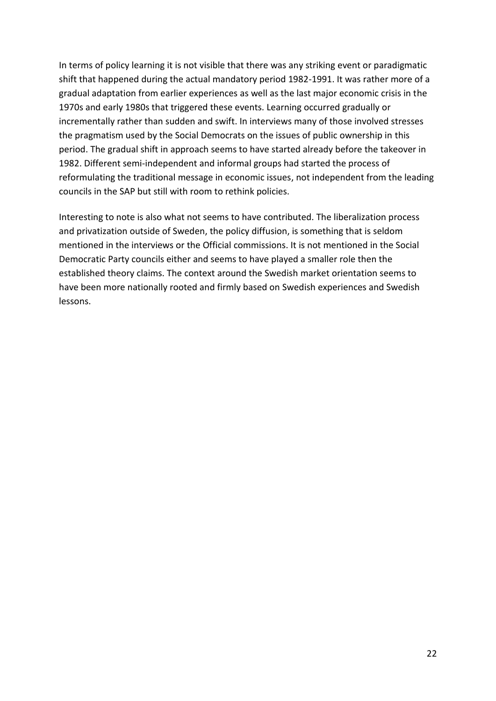In terms of policy learning it is not visible that there was any striking event or paradigmatic shift that happened during the actual mandatory period 1982-1991. It was rather more of a gradual adaptation from earlier experiences as well as the last major economic crisis in the 1970s and early 1980s that triggered these events. Learning occurred gradually or incrementally rather than sudden and swift. In interviews many of those involved stresses the pragmatism used by the Social Democrats on the issues of public ownership in this period. The gradual shift in approach seems to have started already before the takeover in 1982. Different semi-independent and informal groups had started the process of reformulating the traditional message in economic issues, not independent from the leading councils in the SAP but still with room to rethink policies.

Interesting to note is also what not seems to have contributed. The liberalization process and privatization outside of Sweden, the policy diffusion, is something that is seldom mentioned in the interviews or the Official commissions. It is not mentioned in the Social Democratic Party councils either and seems to have played a smaller role then the established theory claims. The context around the Swedish market orientation seems to have been more nationally rooted and firmly based on Swedish experiences and Swedish lessons.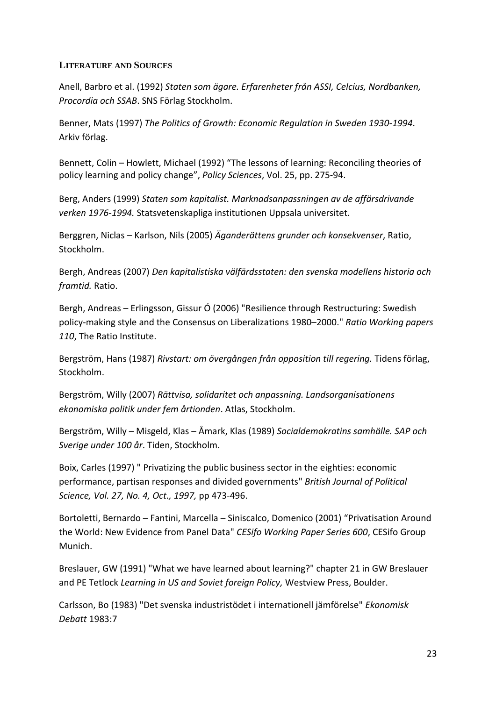#### **LITERATURE AND SOURCES**

Anell, Barbro et al. (1992) *Staten som ägare. Erfarenheter från ASSI, Celcius, Nordbanken, Procordia och SSAB*. SNS Förlag Stockholm.

Benner, Mats (1997) *The Politics of Growth: Economic Regulation in Sweden 1930-1994*. Arkiv förlag.

Bennett, Colin – Howlett, Michael (1992) "The lessons of learning: Reconciling theories of policy learning and policy change", *Policy Sciences*, Vol. 25, pp. 275-94.

Berg, Anders (1999) *Staten som kapitalist. Marknadsanpassningen av de affärsdrivande verken 1976-1994.* Statsvetenskapliga institutionen Uppsala universitet.

Berggren, Niclas – Karlson, Nils (2005) *Äganderättens grunder och konsekvenser*, Ratio, Stockholm.

Bergh, Andreas (2007) *Den kapitalistiska välfärdsstaten: den svenska modellens historia och framtid.* Ratio.

Bergh, Andreas – Erlingsson, Gissur Ó (2006) "Resilience through Restructuring: Swedish policy-making style and the Consensus on Liberalizations 1980–2000." *Ratio Working papers 110*, The Ratio Institute.

Bergström, Hans (1987) *Rivstart: om övergången från opposition till regering.* Tidens förlag, Stockholm.

Bergström, Willy (2007) *Rättvisa, solidaritet och anpassning. Landsorganisationens ekonomiska politik under fem årtionden*. Atlas, Stockholm.

Bergström, Willy – Misgeld, Klas – Åmark, Klas (1989) *Socialdemokratins samhälle. SAP och Sverige under 100 år*. Tiden, Stockholm.

Boix, Carles (1997) " Privatizing the public business sector in the eighties: economic performance, partisan responses and divided governments" *British Journal of Political Science, Vol. 27, No. 4, Oct., 1997,* pp 473-496.

Bortoletti, Bernardo – Fantini, Marcella – Siniscalco, Domenico (2001) "Privatisation Around the World: New Evidence from Panel Data" *CESifo Working Paper Series 600*, CESifo Group Munich.

Breslauer, GW (1991) "What we have learned about learning?" chapter 21 in GW Breslauer and PE Tetlock *Learning in US and Soviet foreign Policy,* Westview Press, Boulder.

Carlsson, Bo (1983) "Det svenska industristödet i internationell jämförelse" *Ekonomisk Debatt* 1983:7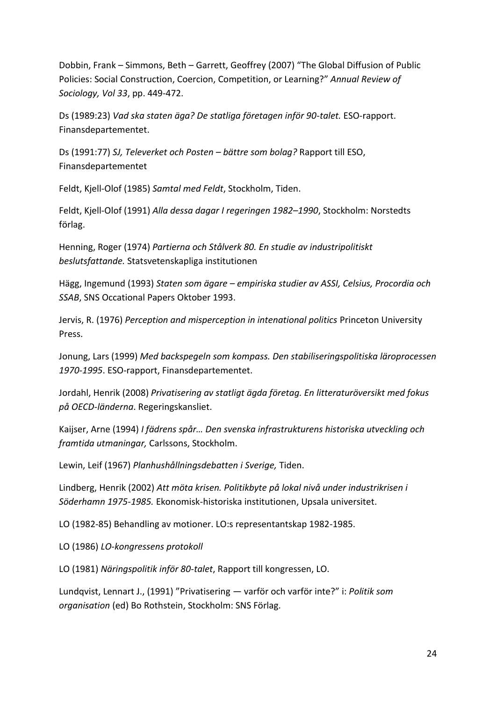Dobbin, Frank – Simmons, Beth – Garrett, Geoffrey (2007) "The Global Diffusion of Public Policies: Social Construction, Coercion, Competition, or Learning?" *Annual Review of Sociology, Vol 33*, pp. 449-472.

Ds (1989:23) *Vad ska staten äga? De statliga företagen inför 90-talet.* ESO-rapport. Finansdepartementet.

Ds (1991:77) *SJ, Televerket och Posten – bättre som bolag?* Rapport till ESO, Finansdepartementet

Feldt, Kjell-Olof (1985) *Samtal med Feldt*, Stockholm, Tiden.

Feldt, Kjell-Olof (1991) *Alla dessa dagar I regeringen 1982–1990*, Stockholm: Norstedts förlag.

Henning, Roger (1974) *Partierna och Stålverk 80. En studie av industripolitiskt beslutsfattande.* Statsvetenskapliga institutionen

Hägg, Ingemund (1993) *Staten som ägare – empiriska studier av ASSI, Celsius, Procordia och SSAB*, SNS Occational Papers Oktober 1993.

Jervis, R. (1976) *Perception and misperception in intenational politics* Princeton University Press.

Jonung, Lars (1999) *Med backspegeln som kompass. Den stabiliseringspolitiska läroprocessen 1970-1995*. ESO-rapport, Finansdepartementet.

Jordahl, Henrik (2008) *Privatisering av statligt ägda företag. En litteraturöversikt med fokus på OECD-länderna*. Regeringskansliet.

Kaijser, Arne (1994) *I fädrens spår… Den svenska infrastrukturens historiska utveckling och framtida utmaningar,* Carlssons, Stockholm.

Lewin, Leif (1967) *Planhushållningsdebatten i Sverige,* Tiden.

Lindberg, Henrik (2002) *Att möta krisen. Politikbyte på lokal nivå under industrikrisen i Söderhamn 1975-1985.* Ekonomisk-historiska institutionen, Upsala universitet.

LO (1982-85) Behandling av motioner. LO:s representantskap 1982-1985.

LO (1986) *LO-kongressens protokoll*

LO (1981) *Näringspolitik inför 80-talet*, Rapport till kongressen, LO.

Lundqvist, Lennart J., (1991) "Privatisering — varför och varför inte?" i: *Politik som organisation* (ed) Bo Rothstein, Stockholm: SNS Förlag.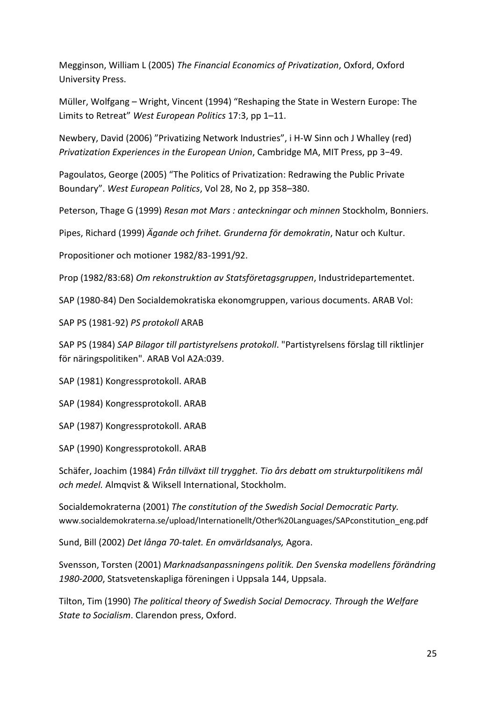Megginson, William L (2005) *The Financial Economics of Privatization*, Oxford, Oxford University Press.

Müller, Wolfgang – Wright, Vincent (1994) "Reshaping the State in Western Europe: The Limits to Retreat" *West European Politics* 17:3, pp 1–11.

Newbery, David (2006) "Privatizing Network Industries", i H-W Sinn och J Whalley (red) *Privatization Experiences in the European Union*, Cambridge MA, MIT Press, pp 3−49.

Pagoulatos, George (2005) "The Politics of Privatization: Redrawing the Public Private Boundary". *West European Politics*, Vol 28, No 2, pp 358–380.

Peterson, Thage G (1999) *Resan mot Mars : anteckningar och minnen* Stockholm, Bonniers.

Pipes, Richard (1999) *Ägande och frihet. Grunderna för demokratin*, Natur och Kultur.

Propositioner och motioner 1982/83-1991/92.

Prop (1982/83:68) *Om rekonstruktion av Statsföretagsgruppen*, Industridepartementet.

SAP (1980-84) Den Socialdemokratiska ekonomgruppen, various documents. ARAB Vol:

SAP PS (1981-92) *PS protokoll* ARAB

SAP PS (1984) *SAP Bilagor till partistyrelsens protokoll*. "Partistyrelsens förslag till riktlinjer för näringspolitiken". ARAB Vol A2A:039.

SAP (1981) Kongressprotokoll. ARAB

SAP (1984) Kongressprotokoll. ARAB

SAP (1987) Kongressprotokoll. ARAB

SAP (1990) Kongressprotokoll. ARAB

Schäfer, Joachim (1984) *Från tillväxt till trygghet. Tio års debatt om strukturpolitikens mål och medel.* Almqvist & Wiksell International, Stockholm.

Socialdemokraterna (2001) *The constitution of the Swedish Social Democratic Party.* www.socialdemokraterna.se/upload/Internationellt/Other%20Languages/SAPconstitution\_eng.pdf

Sund, Bill (2002) *Det långa 70-talet. En omvärldsanalys,* Agora.

Svensson, Torsten (2001) *Marknadsanpassningens politik. Den Svenska modellens förändring 1980-2000*, Statsvetenskapliga föreningen i Uppsala 144, Uppsala.

Tilton, Tim (1990) *The political theory of Swedish Social Democracy. Through the Welfare State to Socialism*. Clarendon press, Oxford.